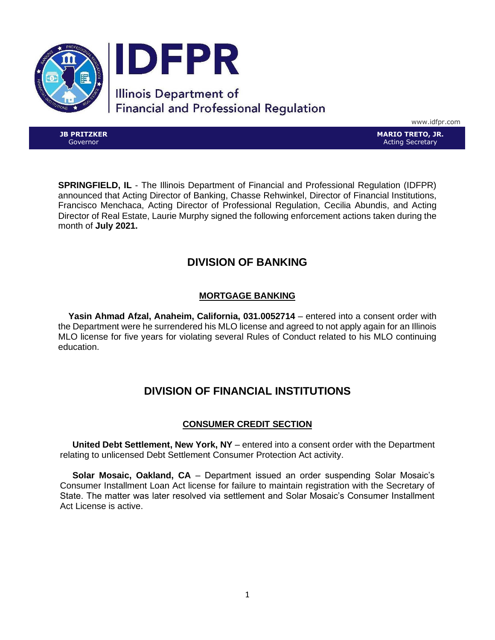

www.idfpr.com

**JB PRITZKER** Governor

**MARIO TRETO, JR.** Acting Secretary

**SPRINGFIELD, IL** - The Illinois Department of Financial and Professional Regulation (IDFPR) announced that Acting Director of Banking, Chasse Rehwinkel, Director of Financial Institutions, Francisco Menchaca, Acting Director of Professional Regulation, Cecilia Abundis, and Acting Director of Real Estate, Laurie Murphy signed the following enforcement actions taken during the month of **July 2021.**

# **DIVISION OF BANKING**

## **MORTGAGE BANKING**

 **Yasin Ahmad Afzal, Anaheim, California, 031.0052714** – entered into a consent order with the Department were he surrendered his MLO license and agreed to not apply again for an Illinois MLO license for five years for violating several Rules of Conduct related to his MLO continuing education.

# **DIVISION OF FINANCIAL INSTITUTIONS**

## **CONSUMER CREDIT SECTION**

 **United Debt Settlement, New York, NY** – entered into a consent order with the Department relating to unlicensed Debt Settlement Consumer Protection Act activity.

 **Solar Mosaic, Oakland, CA** – Department issued an order suspending Solar Mosaic's Consumer Installment Loan Act license for failure to maintain registration with the Secretary of State. The matter was later resolved via settlement and Solar Mosaic's Consumer Installment Act License is active.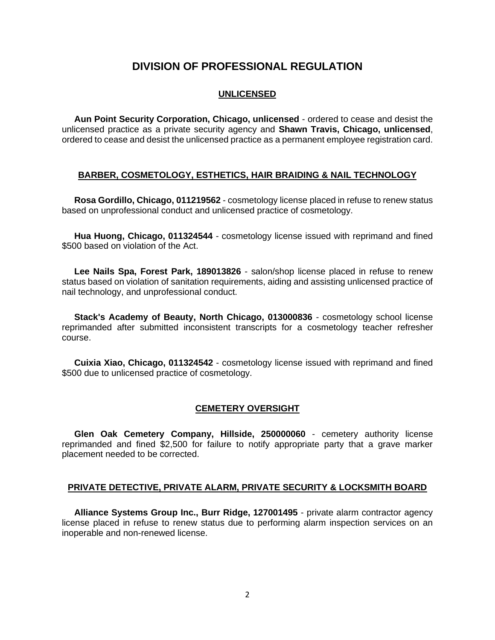## **DIVISION OF PROFESSIONAL REGULATION**

#### **UNLICENSED**

 **Aun Point Security Corporation, Chicago, unlicensed** - ordered to cease and desist the unlicensed practice as a private security agency and **Shawn Travis, Chicago, unlicensed**, ordered to cease and desist the unlicensed practice as a permanent employee registration card.

## **BARBER, COSMETOLOGY, ESTHETICS, HAIR BRAIDING & NAIL TECHNOLOGY**

 **Rosa Gordillo, Chicago, 011219562** - cosmetology license placed in refuse to renew status based on unprofessional conduct and unlicensed practice of cosmetology.

 **Hua Huong, Chicago, 011324544** - cosmetology license issued with reprimand and fined \$500 based on violation of the Act.

 **Lee Nails Spa, Forest Park, 189013826** - salon/shop license placed in refuse to renew status based on violation of sanitation requirements, aiding and assisting unlicensed practice of nail technology, and unprofessional conduct.

 **Stack's Academy of Beauty, North Chicago, 013000836** - cosmetology school license reprimanded after submitted inconsistent transcripts for a cosmetology teacher refresher course.

 **Cuixia Xiao, Chicago, 011324542** - cosmetology license issued with reprimand and fined \$500 due to unlicensed practice of cosmetology.

## **CEMETERY OVERSIGHT**

 **Glen Oak Cemetery Company, Hillside, 250000060** - cemetery authority license reprimanded and fined \$2,500 for failure to notify appropriate party that a grave marker placement needed to be corrected.

## **PRIVATE DETECTIVE, PRIVATE ALARM, PRIVATE SECURITY & LOCKSMITH BOARD**

 **Alliance Systems Group Inc., Burr Ridge, 127001495** - private alarm contractor agency license placed in refuse to renew status due to performing alarm inspection services on an inoperable and non-renewed license.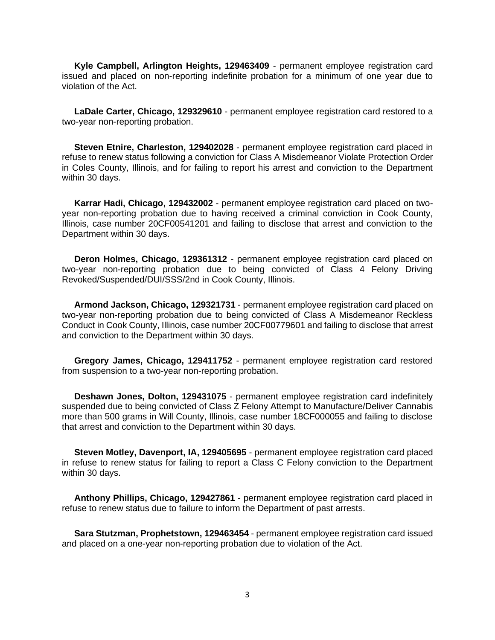**Kyle Campbell, Arlington Heights, 129463409** - permanent employee registration card issued and placed on non-reporting indefinite probation for a minimum of one year due to violation of the Act.

 **LaDale Carter, Chicago, 129329610** - permanent employee registration card restored to a two-year non-reporting probation.

 **Steven Etnire, Charleston, 129402028** - permanent employee registration card placed in refuse to renew status following a conviction for Class A Misdemeanor Violate Protection Order in Coles County, Illinois, and for failing to report his arrest and conviction to the Department within 30 days.

 **Karrar Hadi, Chicago, 129432002** - permanent employee registration card placed on twoyear non-reporting probation due to having received a criminal conviction in Cook County, Illinois, case number 20CF00541201 and failing to disclose that arrest and conviction to the Department within 30 days.

 **Deron Holmes, Chicago, 129361312** - permanent employee registration card placed on two-year non-reporting probation due to being convicted of Class 4 Felony Driving Revoked/Suspended/DUI/SSS/2nd in Cook County, Illinois.

 **Armond Jackson, Chicago, 129321731** - permanent employee registration card placed on two-year non-reporting probation due to being convicted of Class A Misdemeanor Reckless Conduct in Cook County, Illinois, case number 20CF00779601 and failing to disclose that arrest and conviction to the Department within 30 days.

 **Gregory James, Chicago, 129411752** - permanent employee registration card restored from suspension to a two-year non-reporting probation.

 **Deshawn Jones, Dolton, 129431075** - permanent employee registration card indefinitely suspended due to being convicted of Class Z Felony Attempt to Manufacture/Deliver Cannabis more than 500 grams in Will County, Illinois, case number 18CF000055 and failing to disclose that arrest and conviction to the Department within 30 days.

 **Steven Motley, Davenport, IA, 129405695** - permanent employee registration card placed in refuse to renew status for failing to report a Class C Felony conviction to the Department within 30 days.

 **Anthony Phillips, Chicago, 129427861** - permanent employee registration card placed in refuse to renew status due to failure to inform the Department of past arrests.

 **Sara Stutzman, Prophetstown, 129463454** - permanent employee registration card issued and placed on a one-year non-reporting probation due to violation of the Act.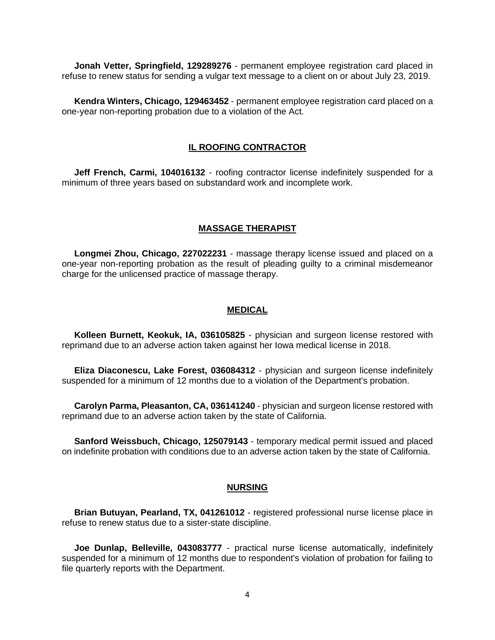**Jonah Vetter, Springfield, 129289276** - permanent employee registration card placed in refuse to renew status for sending a vulgar text message to a client on or about July 23, 2019.

 **Kendra Winters, Chicago, 129463452** - permanent employee registration card placed on a one-year non-reporting probation due to a violation of the Act.

#### **IL ROOFING CONTRACTOR**

 **Jeff French, Carmi, 104016132** - roofing contractor license indefinitely suspended for a minimum of three years based on substandard work and incomplete work.

## **MASSAGE THERAPIST**

 **Longmei Zhou, Chicago, 227022231** - massage therapy license issued and placed on a one-year non-reporting probation as the result of pleading guilty to a criminal misdemeanor charge for the unlicensed practice of massage therapy.

#### **MEDICAL**

 **Kolleen Burnett, Keokuk, IA, 036105825** - physician and surgeon license restored with reprimand due to an adverse action taken against her Iowa medical license in 2018.

 **Eliza Diaconescu, Lake Forest, 036084312** - physician and surgeon license indefinitely suspended for a minimum of 12 months due to a violation of the Department's probation.

 **Carolyn Parma, Pleasanton, CA, 036141240** - physician and surgeon license restored with reprimand due to an adverse action taken by the state of California.

 **Sanford Weissbuch, Chicago, 125079143** - temporary medical permit issued and placed on indefinite probation with conditions due to an adverse action taken by the state of California.

#### **NURSING**

 **Brian Butuyan, Pearland, TX, 041261012** - registered professional nurse license place in refuse to renew status due to a sister-state discipline.

 **Joe Dunlap, Belleville, 043083777** - practical nurse license automatically, indefinitely suspended for a minimum of 12 months due to respondent's violation of probation for failing to file quarterly reports with the Department.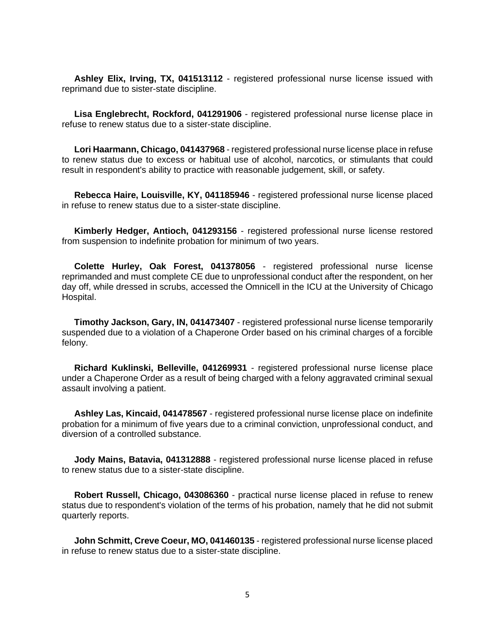**Ashley Elix, Irving, TX, 041513112** - registered professional nurse license issued with reprimand due to sister-state discipline.

 **Lisa Englebrecht, Rockford, 041291906** - registered professional nurse license place in refuse to renew status due to a sister-state discipline.

 **Lori Haarmann, Chicago, 041437968** - registered professional nurse license place in refuse to renew status due to excess or habitual use of alcohol, narcotics, or stimulants that could result in respondent's ability to practice with reasonable judgement, skill, or safety.

 **Rebecca Haire, Louisville, KY, 041185946** - registered professional nurse license placed in refuse to renew status due to a sister-state discipline.

 **Kimberly Hedger, Antioch, 041293156** - registered professional nurse license restored from suspension to indefinite probation for minimum of two years.

 **Colette Hurley, Oak Forest, 041378056** - registered professional nurse license reprimanded and must complete CE due to unprofessional conduct after the respondent, on her day off, while dressed in scrubs, accessed the Omnicell in the ICU at the University of Chicago Hospital.

 **Timothy Jackson, Gary, IN, 041473407** - registered professional nurse license temporarily suspended due to a violation of a Chaperone Order based on his criminal charges of a forcible felony.

 **Richard Kuklinski, Belleville, 041269931** - registered professional nurse license place under a Chaperone Order as a result of being charged with a felony aggravated criminal sexual assault involving a patient.

 **Ashley Las, Kincaid, 041478567** - registered professional nurse license place on indefinite probation for a minimum of five years due to a criminal conviction, unprofessional conduct, and diversion of a controlled substance.

 **Jody Mains, Batavia, 041312888** - registered professional nurse license placed in refuse to renew status due to a sister-state discipline.

 **Robert Russell, Chicago, 043086360** - practical nurse license placed in refuse to renew status due to respondent's violation of the terms of his probation, namely that he did not submit quarterly reports.

 **John Schmitt, Creve Coeur, MO, 041460135** - registered professional nurse license placed in refuse to renew status due to a sister-state discipline.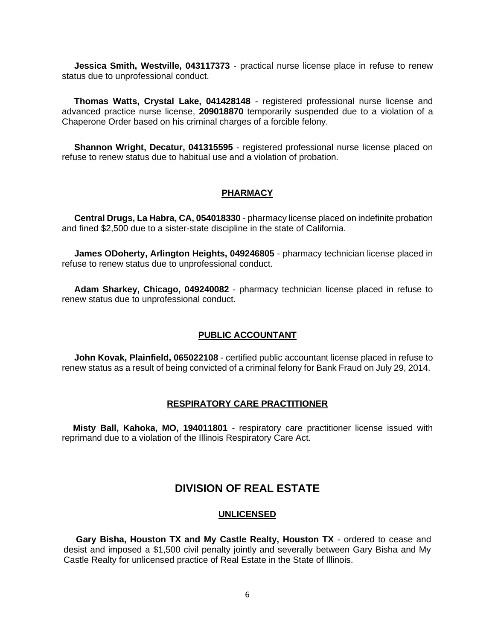**Jessica Smith, Westville, 043117373** - practical nurse license place in refuse to renew status due to unprofessional conduct.

 **Thomas Watts, Crystal Lake, 041428148** - registered professional nurse license and advanced practice nurse license, **209018870** temporarily suspended due to a violation of a Chaperone Order based on his criminal charges of a forcible felony.

**Shannon Wright, Decatur, 041315595** - registered professional nurse license placed on refuse to renew status due to habitual use and a violation of probation.

## **PHARMACY**

 **Central Drugs, La Habra, CA, 054018330** - pharmacy license placed on indefinite probation and fined \$2,500 due to a sister-state discipline in the state of California.

 **James ODoherty, Arlington Heights, 049246805** - pharmacy technician license placed in refuse to renew status due to unprofessional conduct.

 **Adam Sharkey, Chicago, 049240082** - pharmacy technician license placed in refuse to renew status due to unprofessional conduct.

## **PUBLIC ACCOUNTANT**

 **John Kovak, Plainfield, 065022108** - certified public accountant license placed in refuse to renew status as a result of being convicted of a criminal felony for Bank Fraud on July 29, 2014.

#### **RESPIRATORY CARE PRACTITIONER**

 **Misty Ball, Kahoka, MO, 194011801** - respiratory care practitioner license issued with reprimand due to a violation of the Illinois Respiratory Care Act.

## **DIVISION OF REAL ESTATE**

#### **UNLICENSED**

 **Gary Bisha, Houston TX and My Castle Realty, Houston TX** - ordered to cease and desist and imposed a \$1,500 civil penalty jointly and severally between Gary Bisha and My Castle Realty for unlicensed practice of Real Estate in the State of Illinois.